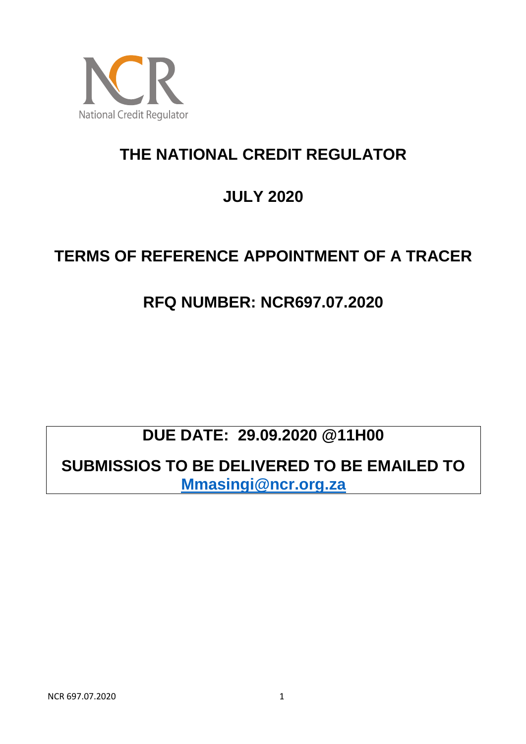

# **THE NATIONAL CREDIT REGULATOR**

# **JULY 2020**

### **TERMS OF REFERENCE APPOINTMENT OF A TRACER**

### **RFQ NUMBER: NCR697.07.2020**

# **DUE DATE: 29.09.2020 @11H00**

**SUBMISSIOS TO BE DELIVERED TO BE EMAILED TO [Mmasingi@ncr.org.za](mailto:Mmasingi@ncr.org.za)**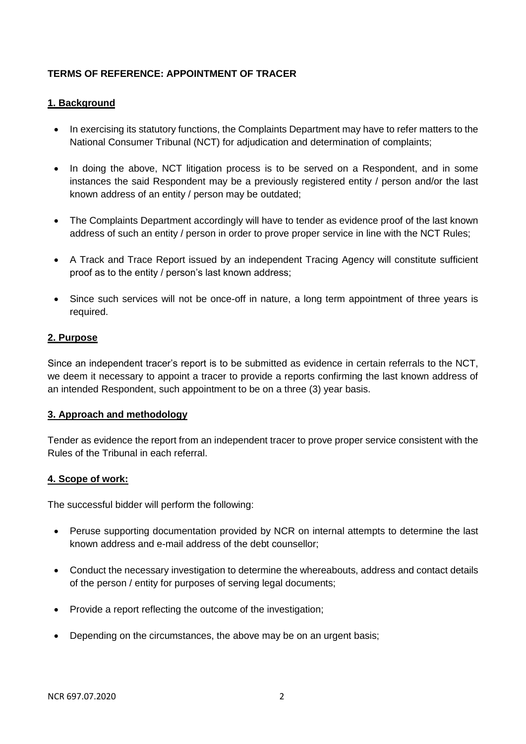### **TERMS OF REFERENCE: APPOINTMENT OF TRACER**

#### **1. Background**

- In exercising its statutory functions, the Complaints Department may have to refer matters to the National Consumer Tribunal (NCT) for adjudication and determination of complaints;
- In doing the above, NCT litigation process is to be served on a Respondent, and in some instances the said Respondent may be a previously registered entity / person and/or the last known address of an entity / person may be outdated;
- The Complaints Department accordingly will have to tender as evidence proof of the last known address of such an entity / person in order to prove proper service in line with the NCT Rules;
- A Track and Trace Report issued by an independent Tracing Agency will constitute sufficient proof as to the entity / person's last known address;
- Since such services will not be once-off in nature, a long term appointment of three years is required.

#### **2. Purpose**

Since an independent tracer's report is to be submitted as evidence in certain referrals to the NCT, we deem it necessary to appoint a tracer to provide a reports confirming the last known address of an intended Respondent, such appointment to be on a three (3) year basis.

#### **3. Approach and methodology**

Tender as evidence the report from an independent tracer to prove proper service consistent with the Rules of the Tribunal in each referral.

#### **4. Scope of work:**

The successful bidder will perform the following:

- Peruse supporting documentation provided by NCR on internal attempts to determine the last known address and e-mail address of the debt counsellor;
- Conduct the necessary investigation to determine the whereabouts, address and contact details of the person / entity for purposes of serving legal documents;
- Provide a report reflecting the outcome of the investigation;
- Depending on the circumstances, the above may be on an urgent basis;